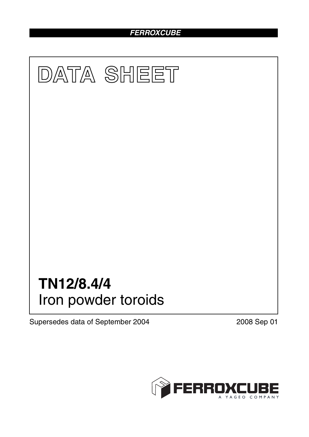# *FERROXCUBE*



Supersedes data of September 2004 2008 Sep 01

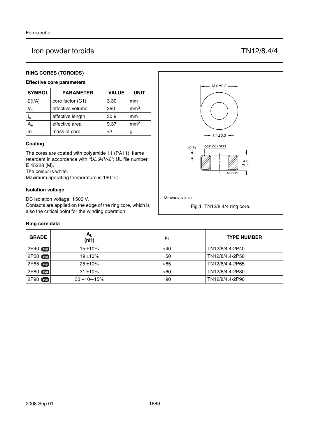## Iron powder toroids TN12/8.4/4

#### **RING CORES (TOROIDS)**

#### **Effective core parameters**

| <b>SYMBOL</b>  | <b>PARAMETER</b> | <b>VALUE</b> | <b>UNIT</b>     |
|----------------|------------------|--------------|-----------------|
| $\Sigma(I/A)$  | core factor (C1) | 3.30         | $mm-1$          |
| $V_{\rm e}$    | effective volume | 290          | mm <sup>3</sup> |
| l <sub>e</sub> | effective length | 30.9         | mm              |
|                | effective area   | 9.37         | mm <sup>2</sup> |
| m              | mass of core     | $\approx$ 2  | g               |

#### **Coating**

The cores are coated with polyamide 11 (PA11), flame retardant in accordance with *"UL 94V-2"*; UL file number E 45228 (M).

The colour is white.

Maximum operating temperature is 160 °C.

#### **Isolation voltage**

DC isolation voltage: 1500 V.

Contacts are applied on the edge of the ring core, which is also the critical point for the winding operation.

#### **Ring core data**

| <b>GRADE</b>     | $A_{L}$<br>(nH)  | μi           | <b>TYPE NUMBER</b> |
|------------------|------------------|--------------|--------------------|
| $2P40$ sup       | $15 + 10\%$      | $\approx 40$ | TN12/8/4.4-2P40    |
| 2P50 sup         | $19 + 10%$       | $\approx 50$ | TN12/8/4.4-2P50    |
| 2P65 sup         | $25 + 10%$       | ≈65          | TN12/8/4.4-2P65    |
| 2P80 sup         | $31 + 10%$       | $\approx 80$ | TN12/8/4.4-2P80    |
| 2P90<br>$[\sup]$ | $33 + 10/ - 15%$ | $\approx 90$ | TN12/8/4.4-2P90    |